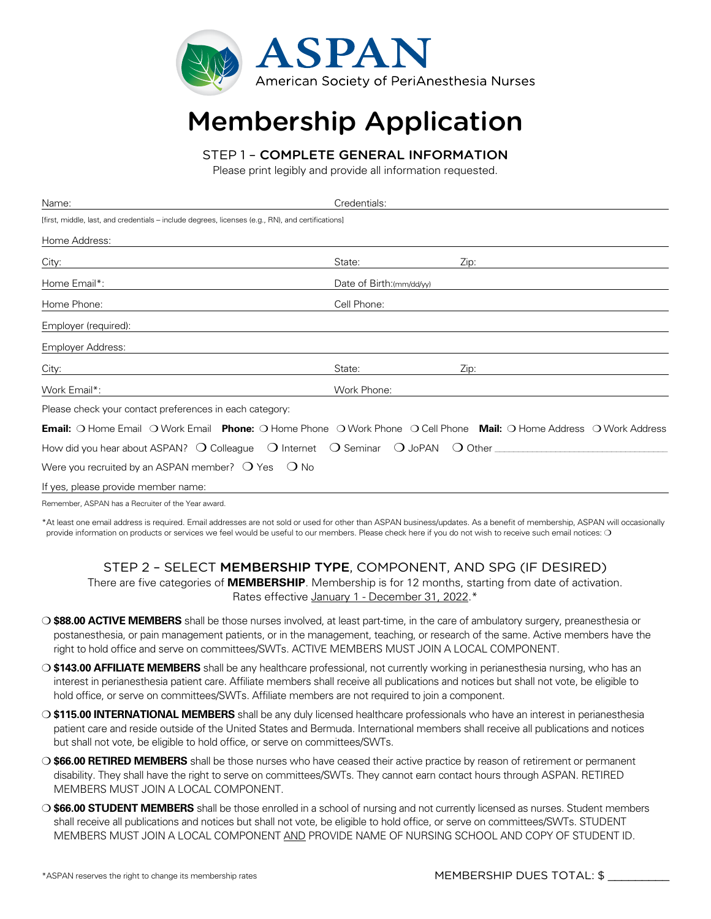

## Membership Application

## STEP 1 – COMPLETE GENERAL INFORMATION

Please print legibly and provide all information requested.

| Name:                                                                                                                            | Credentials:              |      |  |
|----------------------------------------------------------------------------------------------------------------------------------|---------------------------|------|--|
| [first, middle, last, and credentials – include degrees, licenses (e.g., RN), and certifications]                                |                           |      |  |
| Home Address:                                                                                                                    |                           |      |  |
| City:                                                                                                                            | State:                    | Zip: |  |
| Home Email*:                                                                                                                     | Date of Birth: (mm/dd/yy) |      |  |
| Home Phone:                                                                                                                      | Cell Phone:               |      |  |
| Employer (required):                                                                                                             |                           |      |  |
| Employer Address:                                                                                                                |                           |      |  |
| City:                                                                                                                            | State:                    | Zip: |  |
| Work Email*:                                                                                                                     | Work Phone:               |      |  |
| Please check your contact preferences in each category:                                                                          |                           |      |  |
| <b>Email:</b> O Home Email O Work Email <b>Phone:</b> O Home Phone O Work Phone O Cell Phone Mail: O Home Address O Work Address |                           |      |  |
|                                                                                                                                  |                           |      |  |
| Were you recruited by an ASPAN member? $\bigcirc$ Yes $\bigcirc$ No                                                              |                           |      |  |
| If yes, please provide member name:                                                                                              |                           |      |  |
|                                                                                                                                  |                           |      |  |

Remember, ASPAN has a Recruiter of the Year award.

\*At least one email address is required. Email addresses are not sold or used for other than ASPAN business/updates. As a benefit of membership, ASPAN will occasionally provide information on products or services we feel would be useful to our members. Please check here if you do not wish to receive such email notices: O

## STEP 2 – SELECT MEMBERSHIP TYPE, COMPONENT, AND SPG (IF DESIRED)

There are five categories of **MEMBERSHIP**. Membership is for 12 months, starting from date of activation. Rates effective January 1 - December 31, 2022.\*

- m **\$88.00 ACTIVE MEMBERS** shall be those nurses involved, at least part-time, in the care of ambulatory surgery, preanesthesia or postanesthesia, or pain management patients, or in the management, teaching, or research of the same. Active members have the right to hold office and serve on committees/SWTs. ACTIVE MEMBERS MUST JOIN A LOCAL COMPONENT.
- m **\$143.00 AFFILIATE MEMBERS** shall be any healthcare professional, not currently working in perianesthesia nursing, who has an interest in perianesthesia patient care. Affiliate members shall receive all publications and notices but shall not vote, be eligible to hold office, or serve on committees/SWTs. Affiliate members are not required to join a component.
- O **\$115.00 INTERNATIONAL MEMBERS** shall be any duly licensed healthcare professionals who have an interest in perianesthesia patient care and reside outside of the United States and Bermuda. International members shall receive all publications and notices but shall not vote, be eligible to hold office, or serve on committees/SWTs.
- m **\$66.00 RETIRED MEMBERS** shall be those nurses who have ceased their active practice by reason of retirement or permanent disability. They shall have the right to serve on committees/SWTs. They cannot earn contact hours through ASPAN. RETIRED MEMBERS MUST JOIN A LOCAL COMPONENT.
- m **\$66.00 STUDENT MEMBERS** shall be those enrolled in a school of nursing and not currently licensed as nurses. Student members shall receive all publications and notices but shall not vote, be eligible to hold office, or serve on committees/SWTs. STUDENT MEMBERS MUST JOIN A LOCAL COMPONENT AND PROVIDE NAME OF NURSING SCHOOL AND COPY OF STUDENT ID.